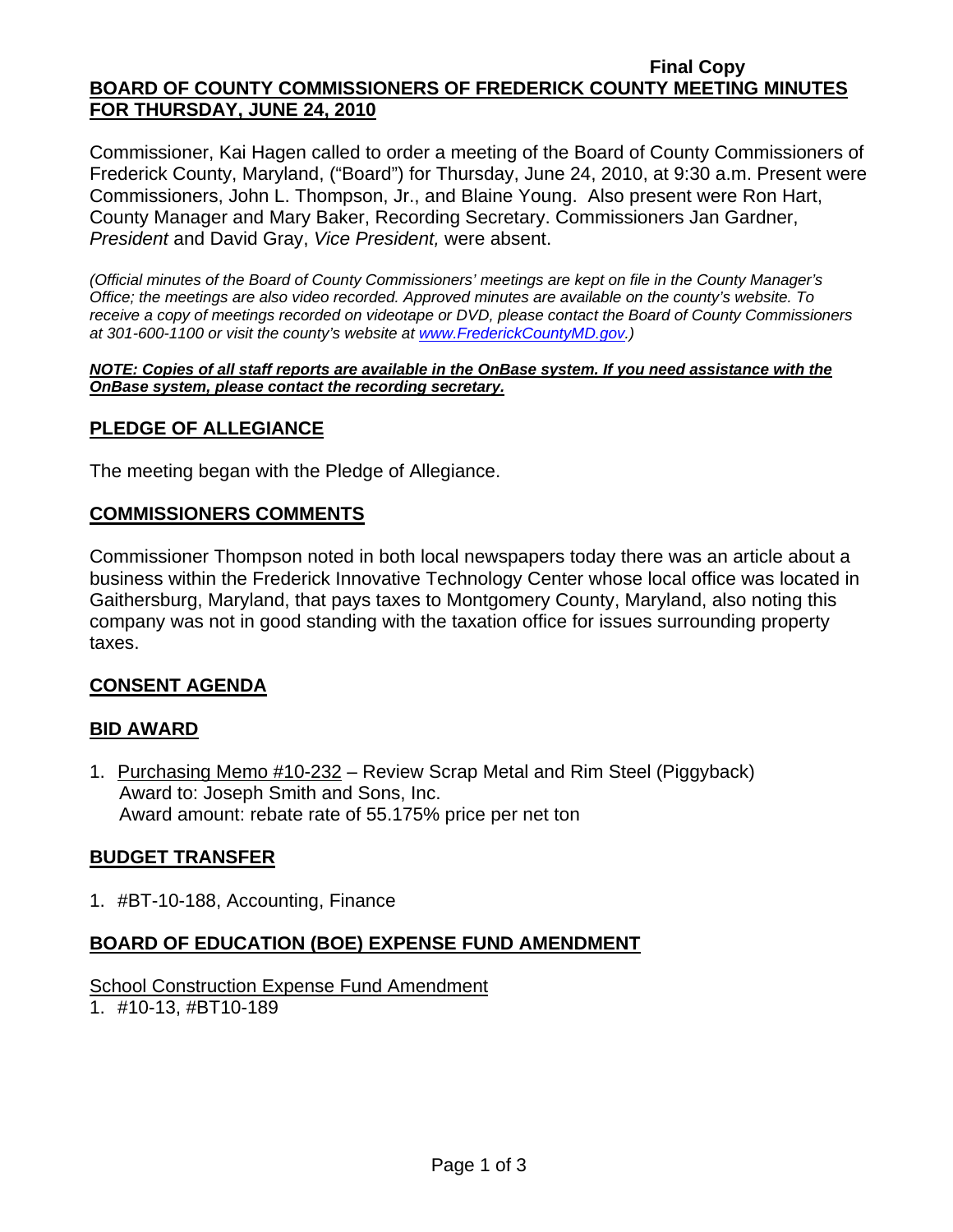#### **Final Copy BOARD OF COUNTY COMMISSIONERS OF FREDERICK COUNTY MEETING MINUTES FOR THURSDAY, JUNE 24, 2010**

Commissioner, Kai Hagen called to order a meeting of the Board of County Commissioners of Frederick County, Maryland, ("Board") for Thursday, June 24, 2010, at 9:30 a.m. Present were Commissioners, John L. Thompson, Jr., and Blaine Young. Also present were Ron Hart, County Manager and Mary Baker, Recording Secretary. Commissioners Jan Gardner, *President* and David Gray, *Vice President,* were absent.

*(Official minutes of the Board of County Commissioners' meetings are kept on file in the County Manager's Office; the meetings are also video recorded. Approved minutes are available on the county's website. To receive a copy of meetings recorded on videotape or DVD, please contact the Board of County Commissioners at 301-600-1100 or visit the county's website at [www.FrederickCountyMD.gov.](http://www.frederickcountymd.gov/))* 

*NOTE: Copies of all staff reports are available in the OnBase system. If you need assistance with the OnBase system, please contact the recording secretary.*

## **PLEDGE OF ALLEGIANCE**

The meeting began with the Pledge of Allegiance.

#### **COMMISSIONERS COMMENTS**

Commissioner Thompson noted in both local newspapers today there was an article about a business within the Frederick Innovative Technology Center whose local office was located in Gaithersburg, Maryland, that pays taxes to Montgomery County, Maryland, also noting this company was not in good standing with the taxation office for issues surrounding property taxes.

## **CONSENT AGENDA**

#### **BID AWARD**

1. Purchasing Memo #10-232 – Review Scrap Metal and Rim Steel (Piggyback) Award to: Joseph Smith and Sons, Inc. Award amount: rebate rate of 55.175% price per net ton

## **BUDGET TRANSFER**

1. #BT-10-188, Accounting, Finance

## **BOARD OF EDUCATION (BOE) EXPENSE FUND AMENDMENT**

# School Construction Expense Fund Amendment

1. #10-13, #BT10-189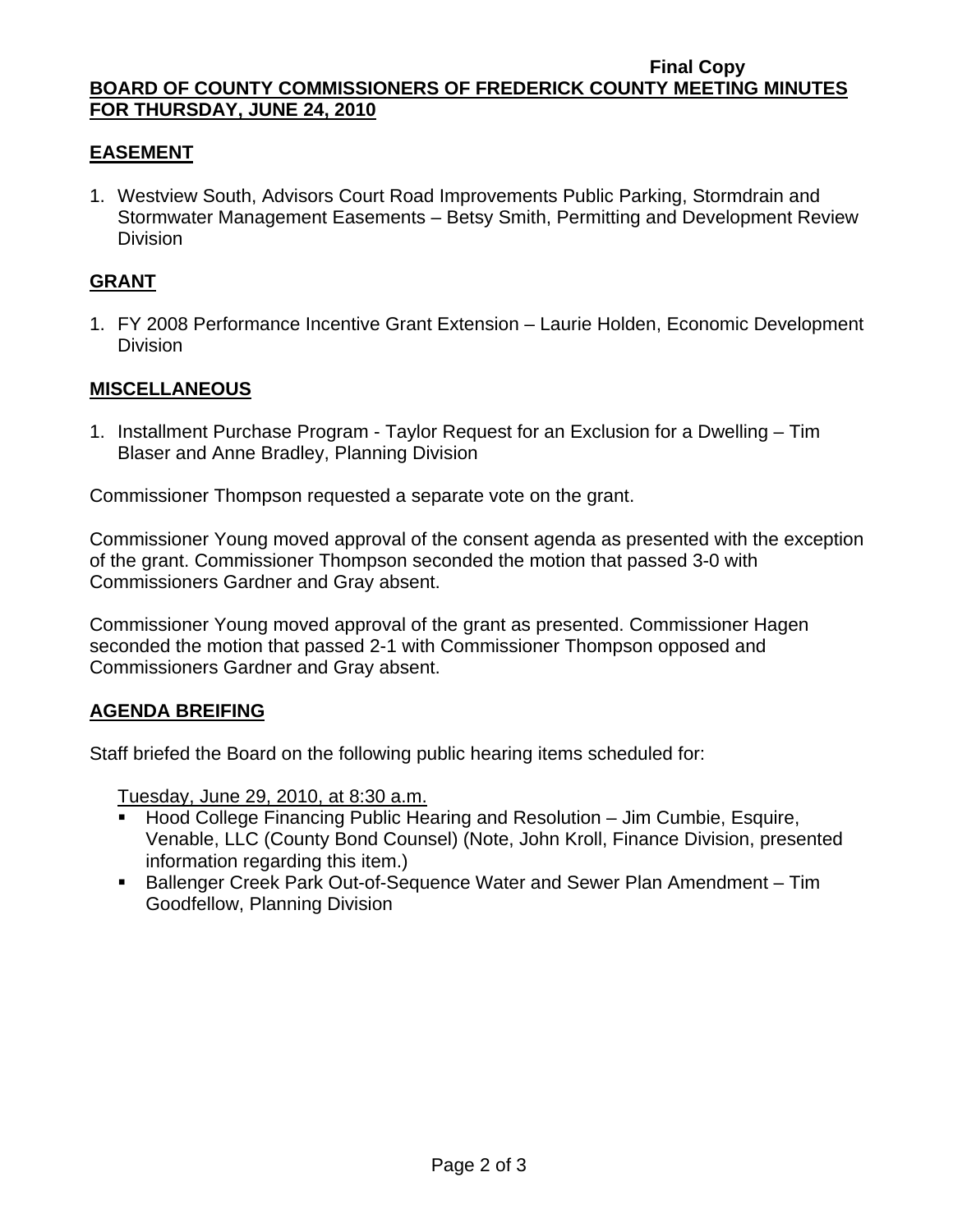#### **Final Copy BOARD OF COUNTY COMMISSIONERS OF FREDERICK COUNTY MEETING MINUTES FOR THURSDAY, JUNE 24, 2010**

# **EASEMENT**

1. Westview South, Advisors Court Road Improvements Public Parking, Stormdrain and Stormwater Management Easements – Betsy Smith, Permitting and Development Review **Division** 

# **GRANT**

1. FY 2008 Performance Incentive Grant Extension – Laurie Holden, Economic Development Division

## **MISCELLANEOUS**

1. Installment Purchase Program - Taylor Request for an Exclusion for a Dwelling – Tim Blaser and Anne Bradley, Planning Division

Commissioner Thompson requested a separate vote on the grant.

Commissioner Young moved approval of the consent agenda as presented with the exception of the grant. Commissioner Thompson seconded the motion that passed 3-0 with Commissioners Gardner and Gray absent.

Commissioner Young moved approval of the grant as presented. Commissioner Hagen seconded the motion that passed 2-1 with Commissioner Thompson opposed and Commissioners Gardner and Gray absent.

## **AGENDA BREIFING**

Staff briefed the Board on the following public hearing items scheduled for:

Tuesday, June 29, 2010, at 8:30 a.m.

- Hood College Financing Public Hearing and Resolution Jim Cumbie, Esquire, Venable, LLC (County Bond Counsel) (Note, John Kroll, Finance Division, presented information regarding this item.)
- Ballenger Creek Park Out-of-Sequence Water and Sewer Plan Amendment Tim Goodfellow, Planning Division